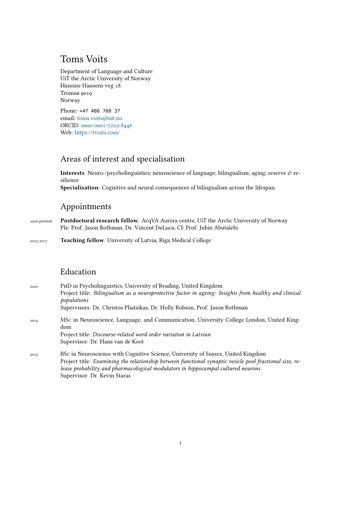# Toms Voits

Department of Language and Culture UiT the Arctic University of Norway Hansine Hansens veg 18 Tromsø 9019 Norway

Phone: +47 486 760 37 email: [toms.voits@uit.no](mailto:toms.voits@uit.no) ORCID: [0000-0001-7223-8446](https://orcid.org/0000-0001-7223-8446) Web: <https://tvoits.com/>

# Areas of interest and specialisation

Interests: Neuro-/psycholinguistics; neuroscience of language; bilingualism; aging; reserve & resilience **Specialisation**: Cognitive and neural consequences of bilingualism across the lifespan.

## Appointments

2020-present **Postdoctoral research fellow**. AcqVA Aurora centre, UiT the Arctic University of Norway PIs: Prof. Jason Rothman, Dr. Vincent DeLuca; CI: Prof. Jubin Abutalebi

2015-2017 **Teaching fellow**. University of Latvia, Riga Medical College

### Education

| 2020 | PHD in Psycholinguistics, University of Reading, United Kingdom<br>Project title: Bilingualism as a neuroprotective factor in ageing: Insights from healthy and clinical |
|------|--------------------------------------------------------------------------------------------------------------------------------------------------------------------------|
|      | populations                                                                                                                                                              |
|      | Supervisors: Dr. Christos Pliatsikas, Dr. Holly Robson, Prof. Jason Rothman                                                                                              |
| 2014 | MSc in Neuroscience, Language, and Communication, University College London, United King-<br>dom                                                                         |
|      | Project title: Discourse-related word order variation in Latvian                                                                                                         |
|      | Supervisor: Dr. Hans van de Koot                                                                                                                                         |
| 2013 | BSc in Neuroscience with Cognitive Science, University of Sussex, United Kingdom                                                                                         |
|      | Project title: Examining the relationship between functional synaptic vesicle pool fractional size, re-                                                                  |

*lease probability and pharmacological modulators in hippocampal cultured neurons* Supervisor: Dr. Kevin Staras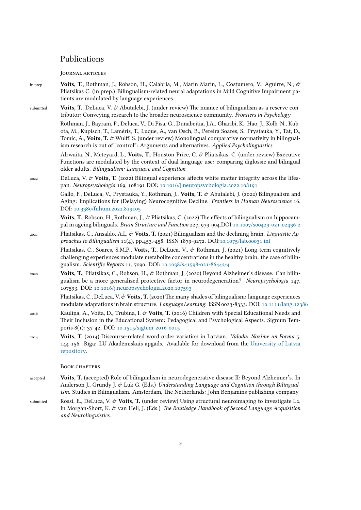### Publications

Journal articles

- in prep **Voits, T.**, Rothman, J., Robson, H., Calabria, M., Marín Marín, L., Costumero, V., Aguirre, N., & Pliatsikas C. (in prep.) Bilingualism-related neural adaptations in Mild Cognitive Impairment patients are modulated by language experiences.
- submitted **Voits, T.**, DeLuca, V. & Abutalebi, J. (under review) The nuance of bilingualism as a reserve contributor: Conveying research to the broader neuroscience community. *Frontiers in Psychology*

Rothman, J., Bayram, F., Deluca, V., Di Pisa, G., Duñabeitia, J.A., Gharibi, K., Hao, J., Kolb, N., Kubota, M., Kupisch, T., Laméris, T., Luque, A., van Osch, B., Pereira Soares, S., Prystauka, Y., Tat, D., Tomic, A., Voits, T. & Wulff, S. (under review) Monolingual comparative normativity in bilingualism research is out of "control": Arguments and alternatives. *Applied Psycholinguistics*

Alrwaita, N., Meteyard, L., **Voits, T.**, Houston-Price, C. & Pliatsikas, C. (under review) Executive Functions are modulated by the context of dual language use: comparing diglossic and bilingual older adults. *Bilingualism: Language and Cognition*

<sup>2022</sup> DeLuca, V. & **Voits, T.** (2022) Bilingual experience affects white matter integrity across the lifespan. *Neuropsychologia* 169, 108191 DOI: [10.1016/j.neuropsychologia.2022.108191](https://doi.org/10.1016/j.neuropsychologia.2022.108191)

> Gallo, F., DeLuca, V., Prystauka, Y., Rothman, J., Voits, T. & Abutalebi, J. (2022) Bilingualism and Aging: Implications for (Delaying) Neurocognitive Decline. *Frontiers in Human Neuroscience* 16. DOI: [10.3389/fnhum.2022.819105](https://www.frontiersin.org/article/10.3389/fnhum.2022.819105)

> **Voits, T., Robson, H., Rothman, J., & Pliatsikas, C. (2022) The effects of bilingualism on hippocam**pal in ageing bilinguals. *Brain Structure and Function* 227, 979-994.DOI:[10.1007/s00429-021-02436-z](https://doi.org/10.1007/s00429-021-02436-z)

2021 Pliatsikas, C., Ansaldo, A.I., & **Voits, T.** (2021) Bilingualism and the declining brain. *Linguistic Approaches to Bilingualism* 11(4), pp.453.-458. ISSN 1879-9272. DOI[:10.1075/lab.00031.int](https://doi.org/10.1075/lab.00031.int)

Pliatsikas, C., Soares, S.M.P., Voits, T., DeLuca, V., & Rothman, J. (2021) Long-term cognitively challenging experiences modulate metabolite concentrations in the healthy brain: the case of bilingualism. *Scientific Reports* 11, 7090. DOI: [10.1038/s41598-021-86443-4](https://doi.org/10.1038/s41598-021-86443-4)

2020 **Voits, T.**, Pliatsikas, C., Robson, H., & Rothman, J. (2020) Beyond Alzheimer's disease: Can bilingualism be a more generalized protective factor in neurodegeneration? *Neuropsychologia* 147, 107593. DOI: [10.1016/j.neuropsychologia.2020.107593](https://doi.org/10.1016/j.neuropsychologia.2020.107593)

Pliatsikas, C., DeLuca, V. & **Voits, T.** (2020) The many shades of bilingualism: language experiences modulate adaptations in brain structure. *Language Learning*. ISSN 0023-8333. DOI: <10.1111/lang.12386>

- 2016 Kauliņa, A., Voita, D., Trubina, I. & **Voits, T.** (2016) Children with Special Educational Needs and Their Inclusion in the Educational System: Pedagogical and Psychological Aspects. Signum Temporis 8(1): 37-42. DOI: [10.1515/sigtem-2016-0015](https://doi.org/10.1515/sigtem-2016-0015)
- 2014 **Voits, T.** (2014) Discourse-related word order variation in Latvian. *Valoda: Nozīme un Forma* 5, 144-156. Rīga: LU Akadēmiskais apgāds. Available for download from the [University of Latvia](https://www.lu.lv/fileadmin/user_upload/lu_portal/apgads/PDF/VNF_5/T_Voits_VNF_5.pdf) [repository.](https://www.lu.lv/fileadmin/user_upload/lu_portal/apgads/PDF/VNF_5/T_Voits_VNF_5.pdf)

#### Book chapters

- accepted **Voits, T.** (accepted) Role of bilingualism in neurodegenerative disease II: Beyond Alzheimer's. In Anderson J., Grundy J. & Luk G. (Eds.) *Understanding Language and Cognition through Bilingualism.* Studies in Bilingualism. Amsterdam, The Netherlands: John Benjamins publishing company
- submitted Rossi, E., DeLuca, V. & **Voits, T.** (under review) Using structural neuroimaging to investigate L2. In Morgan-Short, K. & van Hell, J. (Eds.) *The Routledge Handbook of Second Language Acquisition and Neurolinguistics.*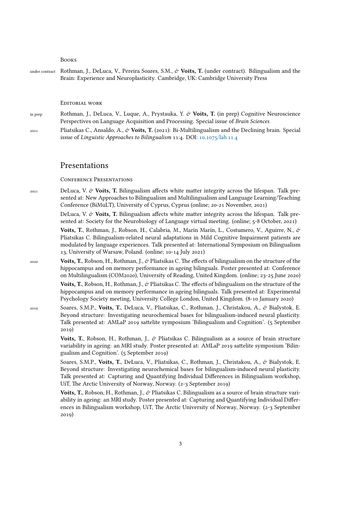#### Books

under contract Rothman, J., DeLuca, V., Pereira Soares, S.M., & Voits, T. (under contract). Bilingualism and the Brain: Experience and Neuroplasticity. Cambridge, UK: Cambridge University Press

#### Editorial work

- in prep Rothman, J., DeLuca, V., Luque, A., Prystauka, Y. & **Voits, T.** (in prep) Cognitive Neuroscience Perspectives on Language Acquisition and Processing. Special issue of *Brain Sciences*
- <sup>2021</sup> Pliatsikas C., Ansaldo, A., & **Voits, T.** (2021): Bi-Multilingualism and the Declining brain. Special issue of *Linguistic Approaches to Bilingualism* 11:4. DOI: <10.1075/lab.11.4>

#### Presentations

Conference Presentations

 $_{2021}$  DeLuca, V.  $\mathcal{O}$  **Voits, T.** Bilingualism affects white matter integrity across the lifespan. Talk presented at: New Approaches to Bilingualism and Multilingualism and Language Learning/Teaching Conference (BiMuLT), University of Cyprus, Cyprus (online; 20-21 November, 2021)

> DeLuca, V. & **Voits, T.** Bilingualism affects white matter integrity across the lifespan. Talk presented at: Society for the Neurobiology of Language virtual meeting. (online; 5-8 October, 2021)

> **Voits, T.**, Rothman, J., Robson, H., Calabria, M., Marín Marín, L., Costumero, V., Aguirre, N., & Pliatsikas C. Bilingualism-related neural adaptations in Mild Cognitive Impairment patients are modulated by language experiences. Talk presented at: International Symposium on Bilingualism 13, University of Warsaw, Poland. (online; 10-14 July 2021)

2020 **Voits, T.**, Robson, H., Rothman, J., & Pliatsikas C. The effects of bilingualism on the structure of the hippocampus and on memory performance in ageing bilinguals. Poster presented at: Conference on Multilingualism (COM2020), University of Reading, United Kingdom. (online; 23-25 June 2020)

> **Voits, T.**, Robson, H., Rothman, J.,  $\mathcal{O}'$  Pliatsikas C. The effects of bilingualism on the structure of the hippocampus and on memory performance in ageing bilinguals. Talk presented at: Experimental Psychology Society meeting, University College London, United Kingdom. (8-10 January 2020)

2019 Soares, S.M.P., **Voits, T.**, DeLuca, V., Pliatsikas, C., Rothman, J., Christakou, A., & Bialystok, E. Beyond structure: Investigating neurochemical bases for bilingualism-induced neural plasticity. Talk presented at: AMLaP 2019 sattelite symposium 'Bilingualism and Cognition'. (5 September 2019)

> **Voits, T.**, Robson, H., Rothman, J., & Pliatsikas C. Bilingualism as a source of brain structure variability in ageing: an MRI study. Poster presented at: AMLaP 2019 sattelite symposium 'Bilingualism and Cognition'. (5 September 2019)

> Soares, S.M.P., Voits, T., DeLuca, V., Pliatsikas, C., Rothman, J., Christakou, A., & Bialystok, E. Beyond structure: Investigating neurochemical bases for bilingualism-induced neural plasticity. Talk presented at: Capturing and Quantifying Individual Differences in Bilingualism workshop, UiT, The Arctic University of Norway, Norway. (2-3 September 2019)

> **Voits, T.**, Robson, H., Rothman, J., & Pliatsikas C. Bilingualism as a source of brain structure variability in ageing: an MRI study. Poster presented at: Capturing and Quantifying Individual Differences in Bilingualism workshop, UiT, The Arctic University of Norway, Norway. (2-3 September 2019)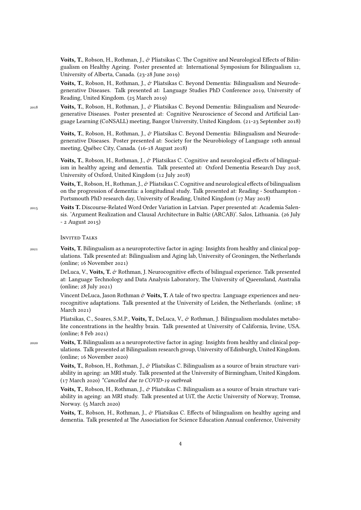**Voits, T.**, Robson, H., Rothman, J., & Pliatsikas C. The Cognitive and Neurological Effects of Bilingualism on Healthy Ageing. Poster presented at: International Symposium for Bilingualism 12, University of Alberta, Canada. (23-28 June 2019)

Voits, T., Robson, H., Rothman, J., & Pliatsikas C. Beyond Dementia: Bilingualism and Neurodegenerative Diseases. Talk presented at: Language Studies PhD Conference 2019, University of Reading, United Kingdom. (25 March 2019)

<sup>2018</sup> **Voits, T.**, Robson, H., Rothman, J., & Pliatsikas C. Beyond Dementia: Bilingualism and Neurodegenerative Diseases. Poster presented at: Cognitive Neuroscience of Second and Artificial Language Learning (CoNSALL) meeting, Bangor University, United Kingdom. (21-23 September 2018)

> **Voits, T.**, Robson, H., Rothman, J., & Pliatsikas C. Beyond Dementia: Bilingualism and Neurodegenerative Diseases. Poster presented at: Society for the Neurobiology of Language 10th annual meeting, Québec City, Canada. (16-18 August 2018)

> Voits, T., Robson, H., Rothman, J., & Pliatsikas C. Cognitive and neurological effects of bilingualism in healthy ageing and dementia. Talk presented at: Oxford Dementia Research Day 2018, University of Oxford, United Kingdom (12 July 2018)

> Voits, T., Robson, H., Rothman, J., & Pliatsikas C. Cognitive and neurological effects of bilingualism on the progression of dementia: a longitudinal study. Talk presented at: Reading - Southampton - Portsmouth PhD research day, University of Reading, United Kingdom (17 May 2018)

2015 **Voits T.** Discourse-Related Word Order Variation in Latvian. Paper presented at: Academia Salensis. 'Argument Realization and Clausal Architecture in Baltic (ARCAB)'. Salos, Lithuania. (26 July - 2 August 2015)

Invited Talks

2021 **Voits, T.** Bilingualism as a neuroprotective factor in aging: Insights from healthy and clinical populations. Talk presented at: Bilingualism and Aging lab, University of Groningen, the Netherlands (online; 16 November 2021)

> DeLuca, V., Voits, T. & Rothman, J. Neurocognitive effects of bilingual experience. Talk presented at: Language Technology and Data Analysis Laboratory, The University of Queensland, Australia (online; 28 July 2021)

> Vincent DeLuca, Jason Rothman & Voits, T. A tale of two spectra: Language experiences and neurocognitive adaptations. Talk presented at the University of Leiden, the Netherlands. (online; 18 March 2021)

> Pliatsikas, C., Soares, S.M.P., **Voits, T.**, DeLuca, V., & Rothman, J. Bilingualism modulates metabolite concentrations in the healthy brain. Talk presented at University of California, Irvine, USA. (online; 8 Feb 2021)

2020 **Voits, T.** Bilingualism as a neuroprotective factor in aging: Insights from healthy and clinical populations. Talk presented at Bilingualism research group, University of Edinburgh, United Kingdom. (online; 16 November 2020)

> **Voits, T.**, Robson, H., Rothman, J., & Pliatsikas C. Bilingualism as a source of brain structure variability in ageing: an MRI study. Talk presented at the University of Birmingham, United Kingdom. (17 March 2020) *\*Cancelled due to COVID-19 outbreak*

> **Voits, T.**, Robson, H., Rothman, J., & Pliatsikas C. Bilingualism as a source of brain structure variability in ageing: an MRI study. Talk presented at UiT, the Arctic University of Norway, Tromsø, Norway. (5 March 2020)

> **Voits, T.**, Robson, H., Rothman, J., & Pliatsikas C. Effects of bilingualism on healthy ageing and dementia. Talk presented at The Association for Science Education Annual conference, University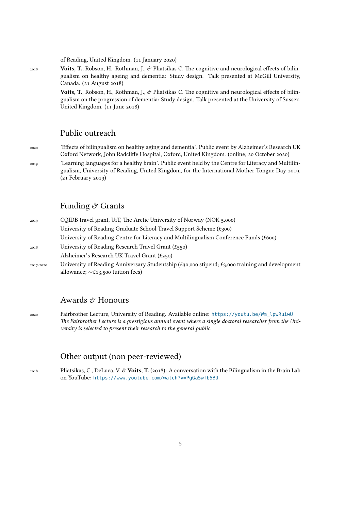of Reading, United Kingdom. (11 January 2020)

<sup>2018</sup> **Voits, T.**, Robson, H., Rothman, J., & Pliatsikas C. The cognitive and neurological effects of bilingualism on healthy ageing and dementia: Study design. Talk presented at McGill University, Canada. (21 August 2018)

> **Voits, T.**, Robson, H., Rothman, J., & Pliatsikas C. The cognitive and neurological effects of bilingualism on the progression of dementia: Study design. Talk presented at the University of Sussex, United Kingdom. (11 June 2018)

### Public outreach

<sup>2020</sup> 'Effects of bilingualism on healthy aging and dementia'. Public event by Alzheimer's Research UK Oxford Network, John Radcliffe Hospital, Oxford, United Kingdom. (online; 20 October 2020)

<sup>2019</sup> 'Learning languages for a healthy brain'. Public event held by the Centre for Literacy and Multilingualism, University of Reading, United Kingdom, for the International Mother Tongue Day 2019. (21 February 2019)

#### Funding  $\acute{\sigma}$  Grants

| 2019      | CQIDB travel grant, UiT, The Arctic University of Norway (NOK 5,000)                                                                                |
|-----------|-----------------------------------------------------------------------------------------------------------------------------------------------------|
|           | University of Reading Graduate School Travel Support Scheme $(f300)$                                                                                |
|           | University of Reading Centre for Literacy and Multilingualism Conference Funds (£600)                                                               |
| 2018      | University of Reading Research Travel Grant $(f_{550})$                                                                                             |
|           | Alzheimer's Research UK Travel Grant $(f250)$                                                                                                       |
| 2017-2020 | University of Reading Anniversary Studentship (£30,000 stipend; $\pounds$ 3,000 training and development<br>allowance; $\sim$ £13,500 tuition fees) |
|           |                                                                                                                                                     |

### Awards  $\mathcal{\hat{C}}$  Honours

2020 Fairbrother Lecture, University of Reading. Available online: [https://youtu.be/Wm\\_lpwRuiwU](https://youtu.be/Wm_lpwRuiwU) *The Fairbrother Lecture is a prestigious annual event where a single doctoral researcher from the University is selected to present their research to the general public.*

### Other output (non peer-reviewed)

<sup>2018</sup> Pliatsikas, C., DeLuca, V. & **Voits, T.** (2018): A conversation with the Bilingualism in the Brain Lab on YouTube: <https://www.youtube.com/watch?v=PgGa5wfb5BU>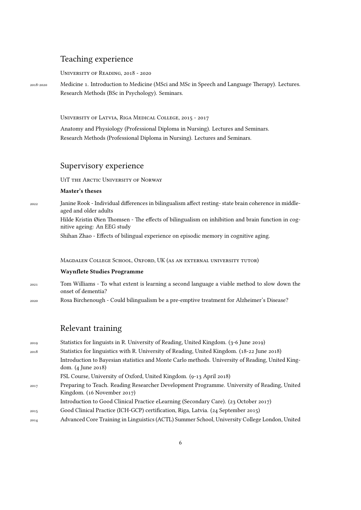### Teaching experience

University of Reading, 2018 - 2020

2018-2020 Medicine 1. Introduction to Medicine (MSci and MSc in Speech and Language Therapy). Lectures. Research Methods (BSc in Psychology). Seminars.

University of Latvia, Riga Medical College, 2015 - 2017

Anatomy and Physiology (Professional Diploma in Nursing). Lectures and Seminars. Research Methods (Professional Diploma in Nursing). Lectures and Seminars.

#### Supervisory experience

UiT the Arctic University of Norway

#### **Master's theses**

2022 Janine Rook - Individual differences in bilingualism affect resting- state brain coherence in middleaged and older adults

> Hilde Kristin Øien Thomsen - The effects of bilingualism on inhibition and brain function in cognitive ageing: An EEG study

Shihan Zhao - Effects of bilingual experience on episodic memory in cognitive aging.

Magdalen College School, Oxford, UK (as an external university tutor)

#### **Waynflete Studies Programme**

- 2021 Tom Williams To what extent is learning a second language a viable method to slow down the onset of dementia?
- 2020 Rosa Birchenough Could bilingualism be a pre-emptive treatment for Alzheimer's Disease?

# Relevant training

2019 Statistics for linguists in R. University of Reading, United Kingdom. (3-6 June 2019) 2018 Statistics for linguistics with R. University of Reading, United Kingdom. (18-22 June 2018) Introduction to Bayesian statistics and Monte Carlo methods. University of Reading, United Kingdom. (4 June 2018) FSL Course, University of Oxford, United Kingdom. (9-13 April 2018) <sup>2017</sup> Preparing to Teach. Reading Researcher Development Programme. University of Reading, United Kingdom. (16 November 2017) Introduction to Good Clinical Practice eLearning (Secondary Care). (23 October 2017) <sup>2015</sup> Good Clinical Practice (ICH-GCP) certification, Riga, Latvia. (24 September 2015) <sup>2014</sup> Advanced Core Training in Linguistics (ACTL) Summer School, University College London, United